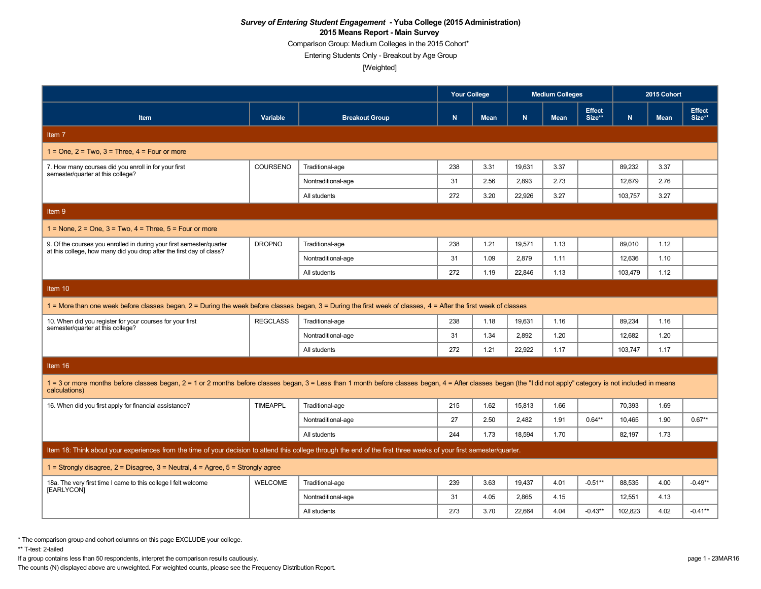Comparison Group: Medium Colleges in the 2015 Cohort\*

Entering Students Only - Breakout by Age Group

[Weighted]

|                                                                                                                                                                                                                                  |                 |                       | <b>Your College</b> |             |        | <b>Medium Colleges</b> |                         |              | 2015 Cohort |                         |  |
|----------------------------------------------------------------------------------------------------------------------------------------------------------------------------------------------------------------------------------|-----------------|-----------------------|---------------------|-------------|--------|------------------------|-------------------------|--------------|-------------|-------------------------|--|
| Item                                                                                                                                                                                                                             | Variable        | <b>Breakout Group</b> | N                   | <b>Mean</b> | N      | <b>Mean</b>            | <b>Effect</b><br>Size** | $\mathsf{N}$ | <b>Mean</b> | <b>Effect</b><br>Size** |  |
| Item 7                                                                                                                                                                                                                           |                 |                       |                     |             |        |                        |                         |              |             |                         |  |
| $1 =$ One, $2 =$ Two, $3 =$ Three, $4 =$ Four or more                                                                                                                                                                            |                 |                       |                     |             |        |                        |                         |              |             |                         |  |
| 7. How many courses did you enroll in for your first<br>semester/quarter at this college?                                                                                                                                        | <b>COURSENO</b> | Traditional-age       | 238                 | 3.31        | 19,631 | 3.37                   |                         | 89.232       | 3.37        |                         |  |
|                                                                                                                                                                                                                                  |                 | Nontraditional-age    | 31                  | 2.56        | 2.893  | 2.73                   |                         | 12,679       | 2.76        |                         |  |
|                                                                                                                                                                                                                                  |                 | All students          | 272                 | 3.20        | 22.926 | 3.27                   |                         | 103.757      | 3.27        |                         |  |
| Item 9                                                                                                                                                                                                                           |                 |                       |                     |             |        |                        |                         |              |             |                         |  |
| $1 =$ None, $2 =$ One, $3 =$ Two, $4 =$ Three, $5 =$ Four or more                                                                                                                                                                |                 |                       |                     |             |        |                        |                         |              |             |                         |  |
| 9. Of the courses you enrolled in during your first semester/quarter<br>at this college, how many did you drop after the first day of class?                                                                                     | <b>DROPNO</b>   | Traditional-age       | 238                 | 1.21        | 19,571 | 1.13                   |                         | 89,010       | 1.12        |                         |  |
|                                                                                                                                                                                                                                  |                 | Nontraditional-age    | 31                  | 1.09        | 2,879  | 1.11                   |                         | 12,636       | 1.10        |                         |  |
|                                                                                                                                                                                                                                  |                 | All students          | 272                 | 1.19        | 22,846 | 1.13                   |                         | 103,479      | 1.12        |                         |  |
| Item 10                                                                                                                                                                                                                          |                 |                       |                     |             |        |                        |                         |              |             |                         |  |
| 1 = More than one week before classes began, 2 = During the week before classes began, 3 = During the first week of classes, 4 = After the first week of classes                                                                 |                 |                       |                     |             |        |                        |                         |              |             |                         |  |
| 10. When did you register for your courses for your first<br>semester/quarter at this college?                                                                                                                                   | <b>REGCLASS</b> | Traditional-age       | 238                 | 1.18        | 19,631 | 1.16                   |                         | 89,234       | 1.16        |                         |  |
|                                                                                                                                                                                                                                  |                 | Nontraditional-age    | 31                  | 1.34        | 2,892  | 1.20                   |                         | 12,682       | 1.20        |                         |  |
|                                                                                                                                                                                                                                  |                 | All students          | 272                 | 1.21        | 22.922 | 1.17                   |                         | 103,747      | 1.17        |                         |  |
| Item 16                                                                                                                                                                                                                          |                 |                       |                     |             |        |                        |                         |              |             |                         |  |
| 1 = 3 or more months before classes began, 2 = 1 or 2 months before classes began, 3 = Less than 1 month before classes began, 4 = After classes began (the "I did not apply" category is not included in means<br>calculations) |                 |                       |                     |             |        |                        |                         |              |             |                         |  |
| 16. When did you first apply for financial assistance?                                                                                                                                                                           | <b>TIMEAPPL</b> | Traditional-age       | 215                 | 1.62        | 15,813 | 1.66                   |                         | 70,393       | 1.69        |                         |  |
|                                                                                                                                                                                                                                  |                 | Nontraditional-age    | 27                  | 2.50        | 2,482  | 1.91                   | $0.64***$               | 10,465       | 1.90        | $0.67**$                |  |
|                                                                                                                                                                                                                                  |                 | All students          | 244                 | 1.73        | 18.594 | 1.70                   |                         | 82.197       | 1.73        |                         |  |
| Item 18: Think about your experiences from the time of your decision to attend this college through the end of the first three weeks of your first semester/quarter.                                                             |                 |                       |                     |             |        |                        |                         |              |             |                         |  |
| 1 = Strongly disagree, $2$ = Disagree, $3$ = Neutral, $4$ = Agree, $5$ = Strongly agree                                                                                                                                          |                 |                       |                     |             |        |                        |                         |              |             |                         |  |
| 18a. The very first time I came to this college I felt welcome<br>[EARLYCON]                                                                                                                                                     | <b>WELCOME</b>  | Traditional-age       | 239                 | 3.63        | 19,437 | 4.01                   | $-0.51**$               | 88,535       | 4.00        | $-0.49**$               |  |
|                                                                                                                                                                                                                                  |                 | Nontraditional-age    | 31                  | 4.05        | 2,865  | 4.15                   |                         | 12,551       | 4.13        |                         |  |
|                                                                                                                                                                                                                                  |                 | All students          | 273                 | 3.70        | 22.664 | 4.04                   | $-0.43**$               | 102.823      | 4.02        | $-0.41**$               |  |

\* The comparison group and cohort columns on this page EXCLUDE your college.

\*\* T-test: 2-tailed

If a group contains less than 50 respondents, interpret the comparison results cautiously. page 1 - 23MAR16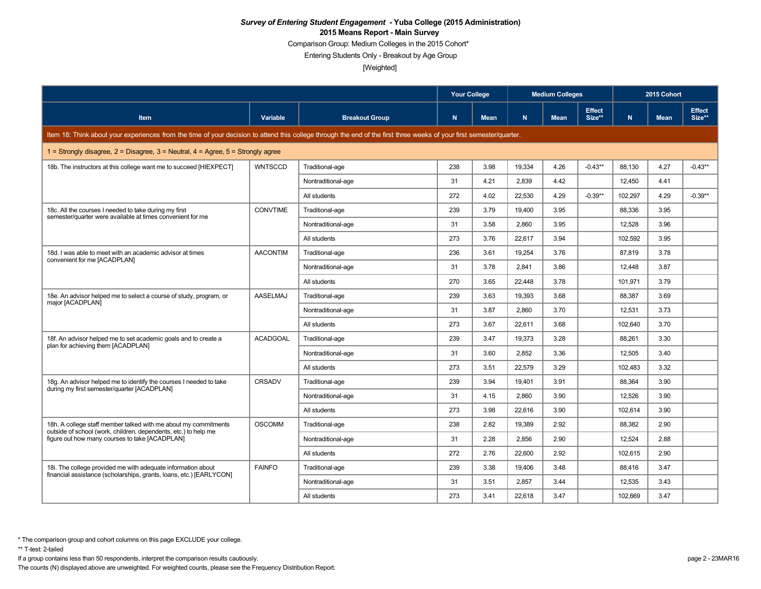Comparison Group: Medium Colleges in the 2015 Cohort\*

Entering Students Only - Breakout by Age Group

[Weighted]

|                                                                                                                                                                      |                 |                       | <b>Your College</b> |             |        | <b>Medium Colleges</b> |                         | 2015 Cohort |             |                         |
|----------------------------------------------------------------------------------------------------------------------------------------------------------------------|-----------------|-----------------------|---------------------|-------------|--------|------------------------|-------------------------|-------------|-------------|-------------------------|
| <b>Item</b>                                                                                                                                                          | Variable        | <b>Breakout Group</b> | N.                  | <b>Mean</b> | N      | <b>Mean</b>            | <b>Effect</b><br>Size** | N           | <b>Mean</b> | <b>Effect</b><br>Size** |
| Item 18: Think about your experiences from the time of your decision to attend this college through the end of the first three weeks of your first semester/quarter. |                 |                       |                     |             |        |                        |                         |             |             |                         |
| 1 = Strongly disagree, $2$ = Disagree, $3$ = Neutral, $4$ = Agree, $5$ = Strongly agree                                                                              |                 |                       |                     |             |        |                        |                         |             |             |                         |
| 18b. The instructors at this college want me to succeed [HIEXPECT]                                                                                                   | <b>WNTSCCD</b>  | Traditional-age       | 238                 | 3.98        | 19,334 | 4.26                   | $-0.43**$               | 88,130      | 4.27        | $-0.43**$               |
|                                                                                                                                                                      |                 | Nontraditional-age    | 31                  | 4.21        | 2.839  | 4.42                   |                         | 12,450      | 4.41        |                         |
|                                                                                                                                                                      |                 | All students          | 272                 | 4.02        | 22,530 | 4.29                   | $-0.39**$               | 102.297     | 4.29        | $-0.39**$               |
| 18c. All the courses I needed to take during my first<br>semester/quarter were available at times convenient for me                                                  | <b>CONVTIME</b> | Traditional-age       | 239                 | 3.79        | 19,400 | 3.95                   |                         | 88,336      | 3.95        |                         |
|                                                                                                                                                                      |                 | Nontraditional-age    | 31                  | 3.58        | 2,860  | 3.95                   |                         | 12,528      | 3.96        |                         |
|                                                                                                                                                                      |                 | All students          | 273                 | 3.76        | 22.617 | 3.94                   |                         | 102.592     | 3.95        |                         |
| 18d. I was able to meet with an academic advisor at times<br>convenient for me [ACADPLAN]                                                                            | <b>AACONTIM</b> | Traditional-age       | 236                 | 3.61        | 19.254 | 3.76                   |                         | 87,819      | 3.78        |                         |
|                                                                                                                                                                      |                 | Nontraditional-age    | 31                  | 3.78        | 2.841  | 3.86                   |                         | 12.448      | 3.87        |                         |
|                                                                                                                                                                      |                 | All students          | 270                 | 3.65        | 22,448 | 3.78                   |                         | 101,971     | 3.79        |                         |
| 18e. An advisor helped me to select a course of study, program, or                                                                                                   | <b>AASELMAJ</b> | Traditional-age       | 239                 | 3.63        | 19.393 | 3.68                   |                         | 88.387      | 3.69        |                         |
| major [ACADPLAN]                                                                                                                                                     |                 | Nontraditional-age    | 31                  | 3.87        | 2,860  | 3.70                   |                         | 12,531      | 3.73        |                         |
|                                                                                                                                                                      |                 | All students          | 273                 | 3.67        | 22,611 | 3.68                   |                         | 102,640     | 3.70        |                         |
| 18f. An advisor helped me to set academic goals and to create a                                                                                                      | <b>ACADGOAL</b> | Traditional-age       | 239                 | 3.47        | 19.373 | 3.28                   |                         | 88.261      | 3.30        |                         |
| plan for achieving them [ACADPLAN]                                                                                                                                   |                 | Nontraditional-age    | 31                  | 3.60        | 2,852  | 3.36                   |                         | 12,505      | 3.40        |                         |
|                                                                                                                                                                      |                 | All students          | 273                 | 3.51        | 22,579 | 3.29                   |                         | 102,483     | 3.32        |                         |
| 18g. An advisor helped me to identify the courses I needed to take                                                                                                   | CRSADV          | Traditional-age       | 239                 | 3.94        | 19,401 | 3.91                   |                         | 88,364      | 3.90        |                         |
| during my first semester/quarter [ACADPLAN]                                                                                                                          |                 | Nontraditional-age    | 31                  | 4.15        | 2.860  | 3.90                   |                         | 12,526      | 3.90        |                         |
|                                                                                                                                                                      |                 | All students          | 273                 | 3.98        | 22,616 | 3.90                   |                         | 102,614     | 3.90        |                         |
| 18h. A college staff member talked with me about my commitments                                                                                                      | <b>OSCOMM</b>   | Traditional-age       | 238                 | 2.82        | 19,389 | 2.92                   |                         | 88,382      | 2.90        |                         |
| outside of school (work, children, dependents, etc.) to help me<br>figure out how many courses to take [ACADPLAN]                                                    |                 | Nontraditional-age    | 31                  | 2.28        | 2.856  | 2.90                   |                         | 12.524      | 2.88        |                         |
|                                                                                                                                                                      |                 | All students          | 272                 | 2.76        | 22.600 | 2.92                   |                         | 102.615     | 2.90        |                         |
| 18i. The college provided me with adequate information about                                                                                                         | <b>FAINFO</b>   | Traditional-age       | 239                 | 3.38        | 19,406 | 3.48                   |                         | 88,416      | 3.47        |                         |
| financial assistance (scholarships, grants, loans, etc.) [EARLYCON]                                                                                                  |                 | Nontraditional-age    | 31                  | 3.51        | 2.857  | 3.44                   |                         | 12.535      | 3.43        |                         |
|                                                                                                                                                                      |                 | All students          | 273                 | 3.41        | 22.618 | 3.47                   |                         | 102,669     | 3.47        |                         |

\*\* T-test: 2-tailed

If a group contains less than 50 respondents, interpret the comparison results cautiously. page 2 - 23MAR16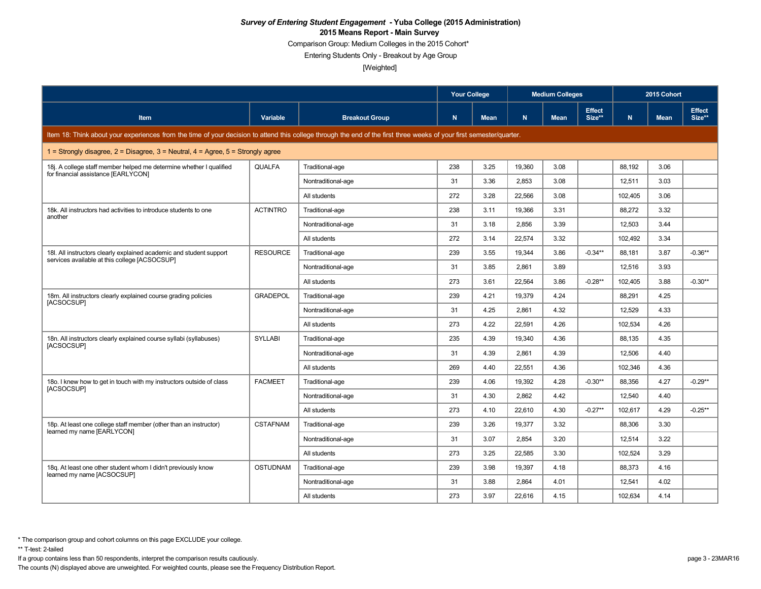Comparison Group: Medium Colleges in the 2015 Cohort\*

Entering Students Only - Breakout by Age Group

[Weighted]

|                                                                                                                                                                      |                 |                       | <b>Your College</b> |             |        | <b>Medium Colleges</b> |                         |         | 2015 Cohort |                         |
|----------------------------------------------------------------------------------------------------------------------------------------------------------------------|-----------------|-----------------------|---------------------|-------------|--------|------------------------|-------------------------|---------|-------------|-------------------------|
| <b>Item</b>                                                                                                                                                          | Variable        | <b>Breakout Group</b> | N.                  | <b>Mean</b> | N.     | <b>Mean</b>            | <b>Effect</b><br>Size** | N       | <b>Mean</b> | <b>Effect</b><br>Size** |
| Item 18: Think about your experiences from the time of your decision to attend this college through the end of the first three weeks of your first semester/quarter. |                 |                       |                     |             |        |                        |                         |         |             |                         |
| 1 = Strongly disagree, $2$ = Disagree, $3$ = Neutral, $4$ = Agree, $5$ = Strongly agree                                                                              |                 |                       |                     |             |        |                        |                         |         |             |                         |
| 18j. A college staff member helped me determine whether I qualified<br>for financial assistance [EARLYCON]                                                           | <b>QUALFA</b>   | Traditional-age       | 238                 | 3.25        | 19,360 | 3.08                   |                         | 88,192  | 3.06        |                         |
|                                                                                                                                                                      |                 | Nontraditional-age    | 31                  | 3.36        | 2.853  | 3.08                   |                         | 12,511  | 3.03        |                         |
|                                                                                                                                                                      |                 | All students          | 272                 | 3.28        | 22.566 | 3.08                   |                         | 102,405 | 3.06        |                         |
| 18k. All instructors had activities to introduce students to one                                                                                                     | <b>ACTINTRO</b> | Traditional-age       | 238                 | 3.11        | 19,366 | 3.31                   |                         | 88,272  | 3.32        |                         |
| another                                                                                                                                                              |                 | Nontraditional-age    | 31                  | 3.18        | 2,856  | 3.39                   |                         | 12,503  | 3.44        |                         |
|                                                                                                                                                                      |                 | All students          | 272                 | 3.14        | 22.574 | 3.32                   |                         | 102.492 | 3.34        |                         |
| 18I. All instructors clearly explained academic and student support                                                                                                  | <b>RESOURCE</b> | Traditional-age       | 239                 | 3.55        | 19.344 | 3.86                   | $-0.34**$               | 88,181  | 3.87        | $-0.36**$               |
| services available at this college [ACSOCSUP]                                                                                                                        |                 | Nontraditional-age    | 31                  | 3.85        | 2.861  | 3.89                   |                         | 12,516  | 3.93        |                         |
|                                                                                                                                                                      |                 | All students          | 273                 | 3.61        | 22,564 | 3.86                   | $-0.28**$               | 102,405 | 3.88        | $-0.30**$               |
| 18m. All instructors clearly explained course grading policies                                                                                                       | <b>GRADEPOL</b> | Traditional-age       | 239                 | 4.21        | 19.379 | 4.24                   |                         | 88.291  | 4.25        |                         |
| [ACSOCSUP]                                                                                                                                                           |                 | Nontraditional-age    | 31                  | 4.25        | 2,861  | 4.32                   |                         | 12,529  | 4.33        |                         |
|                                                                                                                                                                      |                 | All students          | 273                 | 4.22        | 22,591 | 4.26                   |                         | 102,534 | 4.26        |                         |
| 18n. All instructors clearly explained course syllabi (syllabuses)                                                                                                   | <b>SYLLABI</b>  | Traditional-age       | 235                 | 4.39        | 19.340 | 4.36                   |                         | 88.135  | 4.35        |                         |
| [ACSOCSUP]                                                                                                                                                           |                 | Nontraditional-age    | 31                  | 4.39        | 2,861  | 4.39                   |                         | 12,506  | 4.40        |                         |
|                                                                                                                                                                      |                 | All students          | 269                 | 4.40        | 22,551 | 4.36                   |                         | 102,346 | 4.36        |                         |
| 180. I knew how to get in touch with my instructors outside of class                                                                                                 | <b>FACMEET</b>  | Traditional-age       | 239                 | 4.06        | 19,392 | 4.28                   | $-0.30**$               | 88,356  | 4.27        | $-0.29**$               |
| [ACSOCSUP]                                                                                                                                                           |                 | Nontraditional-age    | 31                  | 4.30        | 2.862  | 4.42                   |                         | 12,540  | 4.40        |                         |
|                                                                                                                                                                      |                 | All students          | 273                 | 4.10        | 22,610 | 4.30                   | $-0.27**$               | 102,617 | 4.29        | $-0.25**$               |
| 18p. At least one college staff member (other than an instructor)                                                                                                    | <b>CSTAFNAM</b> | Traditional-age       | 239                 | 3.26        | 19,377 | 3.32                   |                         | 88,306  | 3.30        |                         |
| learned my name [EARLYCON]                                                                                                                                           |                 | Nontraditional-age    | 31                  | 3.07        | 2.854  | 3.20                   |                         | 12.514  | 3.22        |                         |
|                                                                                                                                                                      |                 | All students          | 273                 | 3.25        | 22.585 | 3.30                   |                         | 102.524 | 3.29        |                         |
| 18g. At least one other student whom I didn't previously know                                                                                                        | <b>OSTUDNAM</b> | Traditional-age       | 239                 | 3.98        | 19,397 | 4.18                   |                         | 88,373  | 4.16        |                         |
| learned my name [ACSOCSUP]                                                                                                                                           |                 | Nontraditional-age    | 31                  | 3.88        | 2.864  | 4.01                   |                         | 12.541  | 4.02        |                         |
|                                                                                                                                                                      |                 | All students          | 273                 | 3.97        | 22,616 | 4.15                   |                         | 102,634 | 4.14        |                         |

\*\* T-test: 2-tailed

If a group contains less than 50 respondents, interpret the comparison results cautiously. page 3 - 23MAR16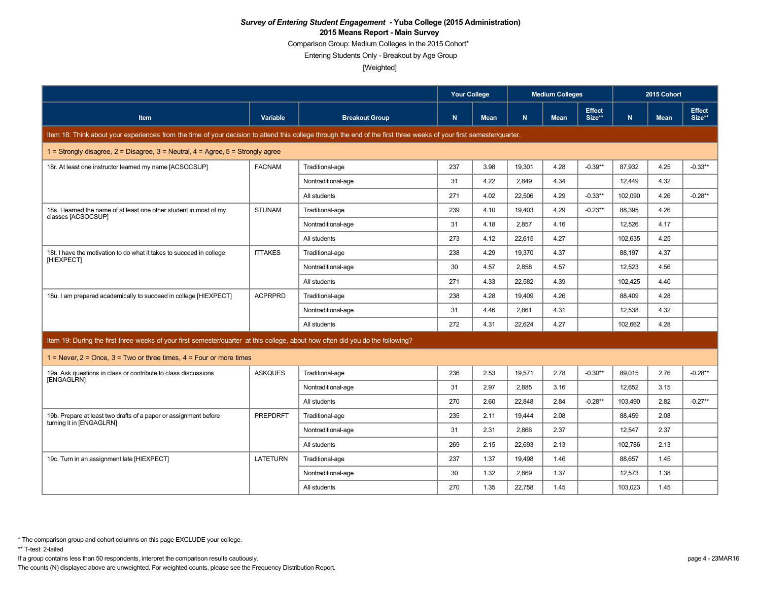Comparison Group: Medium Colleges in the 2015 Cohort\*

Entering Students Only - Breakout by Age Group

[Weighted]

|                                                                                                                                                                      |                 |                       | <b>Your College</b> |             | <b>Medium Colleges</b> |             |                         | 2015 Cohort |             |                         |
|----------------------------------------------------------------------------------------------------------------------------------------------------------------------|-----------------|-----------------------|---------------------|-------------|------------------------|-------------|-------------------------|-------------|-------------|-------------------------|
| <b>Item</b>                                                                                                                                                          | Variable        | <b>Breakout Group</b> | $\mathsf{N}$        | <b>Mean</b> | N.                     | <b>Mean</b> | <b>Effect</b><br>Size** | N.          | <b>Mean</b> | <b>Effect</b><br>Size** |
| Item 18: Think about your experiences from the time of your decision to attend this college through the end of the first three weeks of your first semester/quarter. |                 |                       |                     |             |                        |             |                         |             |             |                         |
| 1 = Strongly disagree, $2$ = Disagree, $3$ = Neutral, $4$ = Agree, $5$ = Strongly agree                                                                              |                 |                       |                     |             |                        |             |                         |             |             |                         |
| 18r. At least one instructor learned my name [ACSOCSUP]                                                                                                              | <b>FACNAM</b>   | Traditional-age       | 237                 | 3.98        | 19,301                 | 4.28        | $-0.39**$               | 87,932      | 4.25        | $-0.33**$               |
|                                                                                                                                                                      |                 | Nontraditional-age    | 31                  | 4.22        | 2,849                  | 4.34        |                         | 12,449      | 4.32        |                         |
|                                                                                                                                                                      |                 | All students          | 271                 | 4.02        | 22,506                 | 4.29        | $-0.33**$               | 102,090     | 4.26        | $-0.28**$               |
| 18s. I learned the name of at least one other student in most of my<br>classes [ACSOCSUP]                                                                            | <b>STUNAM</b>   | Traditional-age       | 239                 | 4.10        | 19.403                 | 4.29        | $-0.23**$               | 88.395      | 4.26        |                         |
|                                                                                                                                                                      |                 | Nontraditional-age    | 31                  | 4.18        | 2.857                  | 4.16        |                         | 12,526      | 4.17        |                         |
|                                                                                                                                                                      |                 | All students          | 273                 | 4.12        | 22.615                 | 4.27        |                         | 102.635     | 4.25        |                         |
| 18t. I have the motivation to do what it takes to succeed in college                                                                                                 | <b>ITTAKES</b>  | Traditional-age       | 238                 | 4.29        | 19,370                 | 4.37        |                         | 88,197      | 4.37        |                         |
| [HIEXPECT]                                                                                                                                                           |                 | Nontraditional-age    | 30                  | 4.57        | 2,858                  | 4.57        |                         | 12,523      | 4.56        |                         |
|                                                                                                                                                                      |                 | All students          | 271                 | 4.33        | 22.582                 | 4.39        |                         | 102.425     | 4.40        |                         |
| 18u. I am prepared academically to succeed in college [HIEXPECT]                                                                                                     | <b>ACPRPRD</b>  | Traditional-age       | 238                 | 4.28        | 19,409                 | 4.26        |                         | 88,409      | 4.28        |                         |
|                                                                                                                                                                      |                 | Nontraditional-age    | 31                  | 4.46        | 2.861                  | 4.31        |                         | 12,538      | 4.32        |                         |
|                                                                                                                                                                      |                 | All students          | 272                 | 4.31        | 22.624                 | 4.27        |                         | 102.662     | 4.28        |                         |
| Item 19: During the first three weeks of your first semester/quarter at this college, about how often did you do the following?                                      |                 |                       |                     |             |                        |             |                         |             |             |                         |
| 1 = Never, $2$ = Once, $3$ = Two or three times, $4$ = Four or more times                                                                                            |                 |                       |                     |             |                        |             |                         |             |             |                         |
| 19a. Ask questions in class or contribute to class discussions                                                                                                       | <b>ASKQUES</b>  | Traditional-age       | 236                 | 2.53        | 19,571                 | 2.78        | $-0.30**$               | 89.015      | 2.76        | $-0.28**$               |
| [ENGAGLRN]                                                                                                                                                           |                 | Nontraditional-age    | 31                  | 2.97        | 2.885                  | 3.16        |                         | 12.652      | 3.15        |                         |
|                                                                                                                                                                      |                 | All students          | 270                 | 2.60        | 22,848                 | 2.84        | $-0.28**$               | 103,490     | 2.82        | $-0.27**$               |
| 19b. Prepare at least two drafts of a paper or assignment before                                                                                                     | <b>PREPDRFT</b> | Traditional-age       | 235                 | 2.11        | 19,444                 | 2.08        |                         | 88,459      | 2.08        |                         |
| turning it in [ENGAGLRN]                                                                                                                                             |                 | Nontraditional-age    | 31                  | 2.31        | 2,866                  | 2.37        |                         | 12,547      | 2.37        |                         |
|                                                                                                                                                                      |                 | All students          | 269                 | 2.15        | 22.693                 | 2.13        |                         | 102.786     | 2.13        |                         |
| 19c. Turn in an assignment late [HIEXPECT]                                                                                                                           | LATETURN        | Traditional-age       | 237                 | 1.37        | 19,498                 | 1.46        |                         | 88,657      | 1.45        |                         |
|                                                                                                                                                                      |                 | Nontraditional-age    | 30                  | 1.32        | 2.869                  | 1.37        |                         | 12,573      | 1.38        |                         |
|                                                                                                                                                                      |                 | All students          | 270                 | 1.35        | 22,758                 | 1.45        |                         | 103,023     | 1.45        |                         |

If a group contains less than 50 respondents, interpret the comparison results cautiously. page 4 - 23MAR16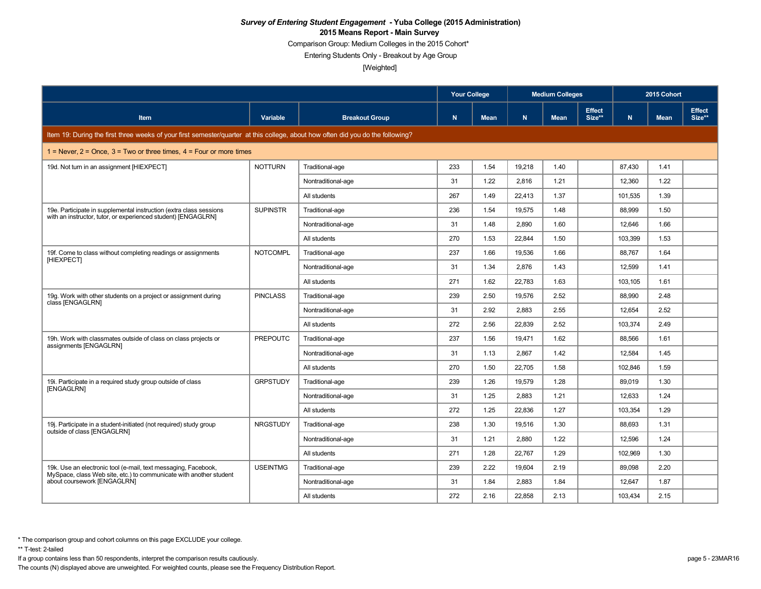Comparison Group: Medium Colleges in the 2015 Cohort\*

Entering Students Only - Breakout by Age Group

[Weighted]

|                                                                                                                                 |                 |                       | <b>Your College</b> |             |        | <b>Medium Colleges</b> |                         |         | 2015 Cohort |                         |
|---------------------------------------------------------------------------------------------------------------------------------|-----------------|-----------------------|---------------------|-------------|--------|------------------------|-------------------------|---------|-------------|-------------------------|
| <b>Item</b>                                                                                                                     | Variable        | <b>Breakout Group</b> | N                   | <b>Mean</b> | N.     | <b>Mean</b>            | <b>Effect</b><br>Size** | N       | <b>Mean</b> | <b>Effect</b><br>Size** |
| Item 19: During the first three weeks of your first semester/quarter at this college, about how often did you do the following? |                 |                       |                     |             |        |                        |                         |         |             |                         |
| 1 = Never, $2$ = Once, $3$ = Two or three times, $4$ = Four or more times                                                       |                 |                       |                     |             |        |                        |                         |         |             |                         |
| 19d. Not turn in an assignment [HIEXPECT]                                                                                       | <b>NOTTURN</b>  | Traditional-age       | 233                 | 1.54        | 19,218 | 1.40                   |                         | 87.430  | 1.41        |                         |
|                                                                                                                                 |                 | Nontraditional-age    | 31                  | 1.22        | 2,816  | 1.21                   |                         | 12,360  | 1.22        |                         |
|                                                                                                                                 |                 | All students          | 267                 | 1.49        | 22.413 | 1.37                   |                         | 101,535 | 1.39        |                         |
| 19e. Participate in supplemental instruction (extra class sessions                                                              | <b>SUPINSTR</b> | Traditional-age       | 236                 | 1.54        | 19,575 | 1.48                   |                         | 88,999  | 1.50        |                         |
| with an instructor, tutor, or experienced student) [ENGAGLRN]                                                                   |                 | Nontraditional-age    | 31                  | 1.48        | 2.890  | 1.60                   |                         | 12,646  | 1.66        |                         |
|                                                                                                                                 |                 | All students          | 270                 | 1.53        | 22.844 | 1.50                   |                         | 103,399 | 1.53        |                         |
| 19f. Come to class without completing readings or assignments                                                                   | <b>NOTCOMPL</b> | Traditional-age       | 237                 | 1.66        | 19,536 | 1.66                   |                         | 88,767  | 1.64        |                         |
| [HIEXPECT]                                                                                                                      |                 | Nontraditional-age    | 31                  | 1.34        | 2.876  | 1.43                   |                         | 12.599  | 1.41        |                         |
|                                                                                                                                 |                 | All students          | 271                 | 1.62        | 22,783 | 1.63                   |                         | 103,105 | 1.61        |                         |
| 19g. Work with other students on a project or assignment during                                                                 | <b>PINCLASS</b> | Traditional-age       | 239                 | 2.50        | 19.576 | 2.52                   |                         | 88.990  | 2.48        |                         |
| class [ENGAGLRN]                                                                                                                |                 | Nontraditional-age    | 31                  | 2.92        | 2,883  | 2.55                   |                         | 12,654  | 2.52        |                         |
|                                                                                                                                 |                 | All students          | 272                 | 2.56        | 22.839 | 2.52                   |                         | 103.374 | 2.49        |                         |
| 19h. Work with classmates outside of class on class projects or                                                                 | <b>PREPOUTC</b> | Traditional-age       | 237                 | 1.56        | 19.471 | 1.62                   |                         | 88,566  | 1.61        |                         |
| assignments [ENGAGLRN]                                                                                                          |                 | Nontraditional-age    | 31                  | 1.13        | 2.867  | 1.42                   |                         | 12,584  | 1.45        |                         |
|                                                                                                                                 |                 | All students          | 270                 | 1.50        | 22,705 | 1.58                   |                         | 102,846 | 1.59        |                         |
| 19i. Participate in a required study group outside of class                                                                     | <b>GRPSTUDY</b> | Traditional-age       | 239                 | 1.26        | 19.579 | 1.28                   |                         | 89,019  | 1.30        |                         |
| <b>IENGAGLRN1</b>                                                                                                               |                 | Nontraditional-age    | 31                  | 1.25        | 2,883  | 1.21                   |                         | 12,633  | 1.24        |                         |
|                                                                                                                                 |                 | All students          | 272                 | 1.25        | 22,836 | 1.27                   |                         | 103,354 | 1.29        |                         |
| 19j. Participate in a student-initiated (not required) study group                                                              | <b>NRGSTUDY</b> | Traditional-age       | 238                 | 1.30        | 19.516 | 1.30                   |                         | 88.693  | 1.31        |                         |
| outside of class [ENGAGLRN]                                                                                                     |                 | Nontraditional-age    | 31                  | 1.21        | 2,880  | 1.22                   |                         | 12,596  | 1.24        |                         |
|                                                                                                                                 |                 | All students          | 271                 | 1.28        | 22.767 | 1.29                   |                         | 102,969 | 1.30        |                         |
| 19k. Use an electronic tool (e-mail, text messaging, Facebook,                                                                  | <b>USEINTMG</b> | Traditional-age       | 239                 | 2.22        | 19,604 | 2.19                   |                         | 89,098  | 2.20        |                         |
| MySpace, class Web site, etc.) to communicate with another student<br>about coursework [ENGAGLRN]                               |                 | Nontraditional-age    | 31                  | 1.84        | 2.883  | 1.84                   |                         | 12,647  | 1.87        |                         |
|                                                                                                                                 |                 | All students          | 272                 | 2.16        | 22,858 | 2.13                   |                         | 103,434 | 2.15        |                         |

\*\* T-test: 2-tailed

If a group contains less than 50 respondents, interpret the comparison results cautiously. page 5 - 23MAR16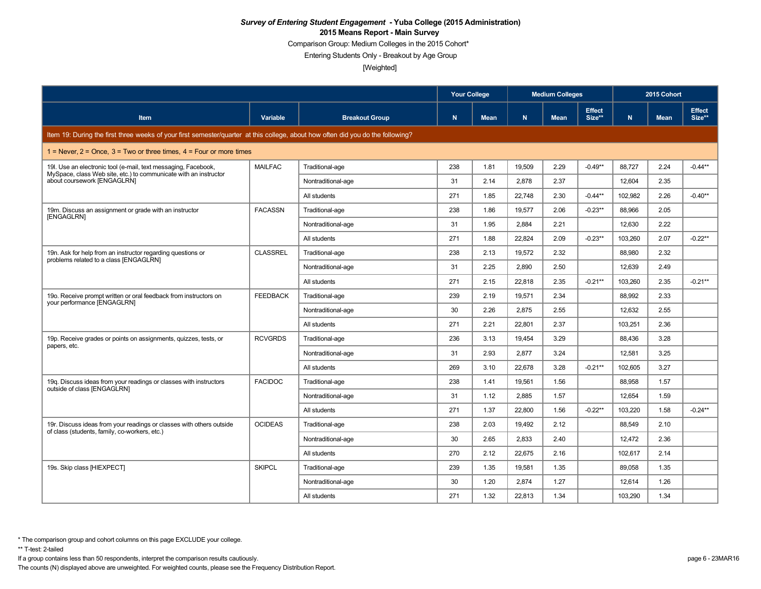Comparison Group: Medium Colleges in the 2015 Cohort\*

Entering Students Only - Breakout by Age Group

[Weighted]

|                                                                                                                                   |                 |                       | <b>Your College</b> |             |        | <b>Medium Colleges</b> |                         | 2015 Cohort |             |                         |
|-----------------------------------------------------------------------------------------------------------------------------------|-----------------|-----------------------|---------------------|-------------|--------|------------------------|-------------------------|-------------|-------------|-------------------------|
| Item                                                                                                                              | Variable        | <b>Breakout Group</b> | N                   | <b>Mean</b> | N.     | <b>Mean</b>            | <b>Effect</b><br>Size** | N           | <b>Mean</b> | <b>Effect</b><br>Size** |
| Item 19: During the first three weeks of your first semester/quarter at this college, about how often did you do the following?   |                 |                       |                     |             |        |                        |                         |             |             |                         |
| 1 = Never, $2 =$ Once, $3 =$ Two or three times, $4 =$ Four or more times                                                         |                 |                       |                     |             |        |                        |                         |             |             |                         |
| 19. Use an electronic tool (e-mail, text messaging, Facebook,<br>MySpace, class Web site, etc.) to communicate with an instructor | <b>MAILFAC</b>  | Traditional-age       | 238                 | 1.81        | 19,509 | 2.29                   | $-0.49**$               | 88,727      | 2.24        | $-0.44**$               |
| about coursework [ENGAGLRN]                                                                                                       |                 | Nontraditional-age    | 31                  | 2.14        | 2,878  | 2.37                   |                         | 12,604      | 2.35        |                         |
|                                                                                                                                   |                 | All students          | 271                 | 1.85        | 22,748 | 2.30                   | $-0.44**$               | 102,982     | 2.26        | $-0.40**$               |
| 19m. Discuss an assignment or grade with an instructor                                                                            | <b>FACASSN</b>  | Traditional-age       | 238                 | 1.86        | 19,577 | 2.06                   | $-0.23**$               | 88,966      | 2.05        |                         |
| [ENGAGLRN]                                                                                                                        |                 | Nontraditional-age    | 31                  | 1.95        | 2,884  | 2.21                   |                         | 12,630      | 2.22        |                         |
|                                                                                                                                   |                 | All students          | 271                 | 1.88        | 22.824 | 2.09                   | $-0.23**$               | 103.260     | 2.07        | $-0.22**$               |
| 19n. Ask for help from an instructor regarding questions or                                                                       | <b>CLASSREL</b> | Traditional-age       | 238                 | 2.13        | 19.572 | 2.32                   |                         | 88,980      | 2.32        |                         |
| problems related to a class [ENGAGLRN]                                                                                            |                 | Nontraditional-age    | 31                  | 2.25        | 2,890  | 2.50                   |                         | 12,639      | 2.49        |                         |
|                                                                                                                                   |                 | All students          | 271                 | 2.15        | 22.818 | 2.35                   | $-0.21**$               | 103,260     | 2.35        | $-0.21**$               |
| 19o. Receive prompt written or oral feedback from instructors on                                                                  | <b>FEEDBACK</b> | Traditional-age       | 239                 | 2.19        | 19.571 | 2.34                   |                         | 88,992      | 2.33        |                         |
| your performance [ENGAGLRN]                                                                                                       |                 | Nontraditional-age    | 30                  | 2.26        | 2,875  | 2.55                   |                         | 12.632      | 2.55        |                         |
|                                                                                                                                   |                 | All students          | 271                 | 2.21        | 22,801 | 2.37                   |                         | 103,251     | 2.36        |                         |
| 19p. Receive grades or points on assignments, guizzes, tests, or                                                                  | <b>RCVGRDS</b>  | Traditional-age       | 236                 | 3.13        | 19.454 | 3.29                   |                         | 88.436      | 3.28        |                         |
| papers, etc.                                                                                                                      |                 | Nontraditional-age    | 31                  | 2.93        | 2,877  | 3.24                   |                         | 12,581      | 3.25        |                         |
|                                                                                                                                   |                 | All students          | 269                 | 3.10        | 22.678 | 3.28                   | $-0.21**$               | 102.605     | 3.27        |                         |
| 19g. Discuss ideas from your readings or classes with instructors<br>outside of class [ENGAGLRN]                                  | <b>FACIDOC</b>  | Traditional-age       | 238                 | 1.41        | 19,561 | 1.56                   |                         | 88,958      | 1.57        |                         |
|                                                                                                                                   |                 | Nontraditional-age    | 31                  | 1.12        | 2.885  | 1.57                   |                         | 12.654      | 1.59        |                         |
|                                                                                                                                   |                 | All students          | 271                 | 1.37        | 22,800 | 1.56                   | $-0.22**$               | 103,220     | 1.58        | $-0.24**$               |
| 19r. Discuss ideas from your readings or classes with others outside                                                              | <b>OCIDEAS</b>  | Traditional-age       | 238                 | 2.03        | 19.492 | 2.12                   |                         | 88.549      | 2.10        |                         |
| of class (students, family, co-workers, etc.)                                                                                     |                 | Nontraditional-age    | 30                  | 2.65        | 2,833  | 2.40                   |                         | 12,472      | 2.36        |                         |
|                                                                                                                                   |                 | All students          | 270                 | 2.12        | 22.675 | 2.16                   |                         | 102,617     | 2.14        |                         |
| 19s. Skip class [HIEXPECT]                                                                                                        | <b>SKIPCL</b>   | Traditional-age       | 239                 | 1.35        | 19,581 | 1.35                   |                         | 89,058      | 1.35        |                         |
|                                                                                                                                   |                 | Nontraditional-age    | 30                  | 1.20        | 2.874  | 1.27                   |                         | 12,614      | 1.26        |                         |
|                                                                                                                                   |                 | All students          | 271                 | 1.32        | 22,813 | 1.34                   |                         | 103,290     | 1.34        |                         |

\*\* T-test: 2-tailed

If a group contains less than 50 respondents, interpret the comparison results cautiously. page 6 - 23MAR16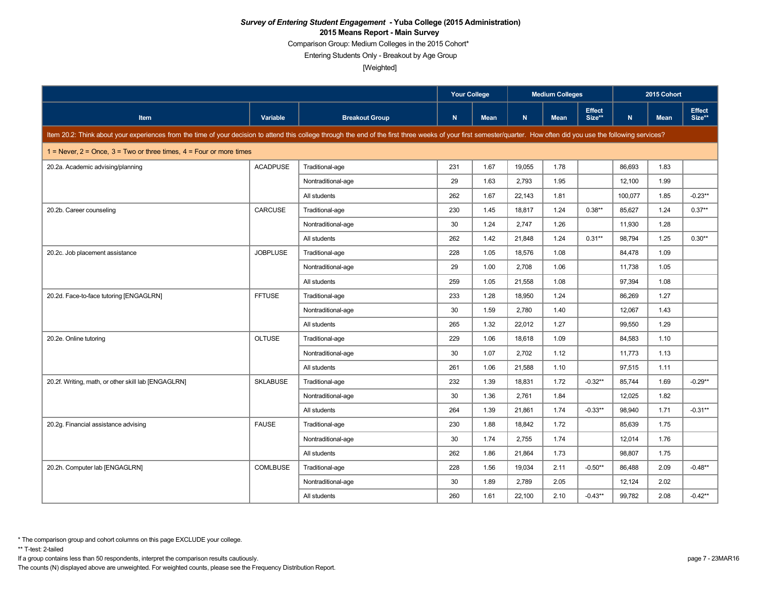Comparison Group: Medium Colleges in the 2015 Cohort\*

Entering Students Only - Breakout by Age Group

[Weighted]

|                                                                                                                                                                                                                      |                 |                       |     | <b>Your College</b> | <b>Medium Colleges</b> |             |                         | 2015 Cohort |             |                         |
|----------------------------------------------------------------------------------------------------------------------------------------------------------------------------------------------------------------------|-----------------|-----------------------|-----|---------------------|------------------------|-------------|-------------------------|-------------|-------------|-------------------------|
| Item                                                                                                                                                                                                                 | Variable        | <b>Breakout Group</b> | N   | <b>Mean</b>         | N                      | <b>Mean</b> | <b>Effect</b><br>Size** | $\mathbf N$ | <b>Mean</b> | <b>Effect</b><br>Size** |
| Item 20.2: Think about your experiences from the time of your decision to attend this college through the end of the first three weeks of your first semester/quarter. How often did you use the following services? |                 |                       |     |                     |                        |             |                         |             |             |                         |
| 1 = Never, $2$ = Once, $3$ = Two or three times, $4$ = Four or more times                                                                                                                                            |                 |                       |     |                     |                        |             |                         |             |             |                         |
| 20.2a. Academic advising/planning                                                                                                                                                                                    | <b>ACADPUSE</b> | Traditional-age       | 231 | 1.67                | 19,055                 | 1.78        |                         | 86,693      | 1.83        |                         |
|                                                                                                                                                                                                                      |                 | Nontraditional-age    | 29  | 1.63                | 2,793                  | 1.95        |                         | 12,100      | 1.99        |                         |
|                                                                                                                                                                                                                      |                 | All students          | 262 | 1.67                | 22,143                 | 1.81        |                         | 100,077     | 1.85        | $-0.23**$               |
| 20.2b. Career counseling                                                                                                                                                                                             | CARCUSE         | Traditional-age       | 230 | 1.45                | 18,817                 | 1.24        | $0.38**$                | 85,627      | 1.24        | $0.37**$                |
|                                                                                                                                                                                                                      |                 | Nontraditional-age    | 30  | 1.24                | 2,747                  | 1.26        |                         | 11,930      | 1.28        |                         |
|                                                                                                                                                                                                                      |                 | All students          | 262 | 1.42                | 21,848                 | 1.24        | $0.31**$                | 98,794      | 1.25        | $0.30**$                |
| 20.2c. Job placement assistance                                                                                                                                                                                      | <b>JOBPLUSE</b> | Traditional-age       | 228 | 1.05                | 18,576                 | 1.08        |                         | 84,478      | 1.09        |                         |
|                                                                                                                                                                                                                      |                 | Nontraditional-age    | 29  | 1.00                | 2,708                  | 1.06        |                         | 11,738      | 1.05        |                         |
|                                                                                                                                                                                                                      |                 | All students          | 259 | 1.05                | 21,558                 | 1.08        |                         | 97,394      | 1.08        |                         |
| 20.2d. Face-to-face tutoring [ENGAGLRN]                                                                                                                                                                              | <b>FFTUSE</b>   | Traditional-age       | 233 | 1.28                | 18,950                 | 1.24        |                         | 86,269      | 1.27        |                         |
|                                                                                                                                                                                                                      |                 | Nontraditional-age    | 30  | 1.59                | 2,780                  | 1.40        |                         | 12,067      | 1.43        |                         |
|                                                                                                                                                                                                                      |                 | All students          | 265 | 1.32                | 22,012                 | 1.27        |                         | 99,550      | 1.29        |                         |
| 20.2e. Online tutoring                                                                                                                                                                                               | <b>OLTUSE</b>   | Traditional-age       | 229 | 1.06                | 18,618                 | 1.09        |                         | 84,583      | 1.10        |                         |
|                                                                                                                                                                                                                      |                 | Nontraditional-age    | 30  | 1.07                | 2,702                  | 1.12        |                         | 11,773      | 1.13        |                         |
|                                                                                                                                                                                                                      |                 | All students          | 261 | 1.06                | 21,588                 | 1.10        |                         | 97,515      | 1.11        |                         |
| 20.2f. Writing, math, or other skill lab [ENGAGLRN]                                                                                                                                                                  | <b>SKLABUSE</b> | Traditional-age       | 232 | 1.39                | 18,831                 | 1.72        | $-0.32**$               | 85,744      | 1.69        | $-0.29**$               |
|                                                                                                                                                                                                                      |                 | Nontraditional-age    | 30  | 1.36                | 2,761                  | 1.84        |                         | 12,025      | 1.82        |                         |
|                                                                                                                                                                                                                      |                 | All students          | 264 | 1.39                | 21,861                 | 1.74        | $-0.33**$               | 98,940      | 1.71        | $-0.31**$               |
| 20.2g. Financial assistance advising                                                                                                                                                                                 | <b>FAUSE</b>    | Traditional-age       | 230 | 1.88                | 18,842                 | 1.72        |                         | 85,639      | 1.75        |                         |
|                                                                                                                                                                                                                      |                 | Nontraditional-age    | 30  | 1.74                | 2,755                  | 1.74        |                         | 12,014      | 1.76        |                         |
|                                                                                                                                                                                                                      |                 | All students          | 262 | 1.86                | 21.864                 | 1.73        |                         | 98,807      | 1.75        |                         |
| 20.2h. Computer lab [ENGAGLRN]                                                                                                                                                                                       | <b>COMLBUSE</b> | Traditional-age       | 228 | 1.56                | 19,034                 | 2.11        | $-0.50**$               | 86,488      | 2.09        | $-0.48**$               |
|                                                                                                                                                                                                                      |                 | Nontraditional-age    | 30  | 1.89                | 2,789                  | 2.05        |                         | 12,124      | 2.02        |                         |
|                                                                                                                                                                                                                      |                 | All students          | 260 | 1.61                | 22,100                 | 2.10        | $-0.43**$               | 99,782      | 2.08        | $-0.42**$               |

\*\* T-test: 2-tailed

If a group contains less than 50 respondents, interpret the comparison results cautiously. page 7 - 23MAR16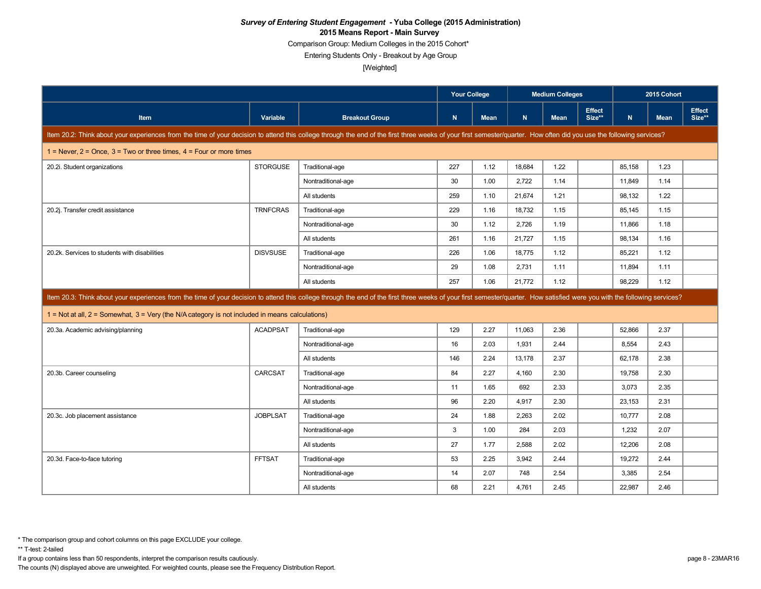Comparison Group: Medium Colleges in the 2015 Cohort\*

Entering Students Only - Breakout by Age Group

[Weighted]

|                                                                                                                                                                                                                            |                 |                       | <b>Your College</b> |             | <b>Medium Colleges</b> |             |                         | 2015 Cohort |             |                         |
|----------------------------------------------------------------------------------------------------------------------------------------------------------------------------------------------------------------------------|-----------------|-----------------------|---------------------|-------------|------------------------|-------------|-------------------------|-------------|-------------|-------------------------|
| Item                                                                                                                                                                                                                       | Variable        | <b>Breakout Group</b> | $\mathbf N$         | <b>Mean</b> | N                      | <b>Mean</b> | <b>Effect</b><br>Size** | N           | <b>Mean</b> | <b>Effect</b><br>Size** |
| Item 20.2: Think about your experiences from the time of your decision to attend this college through the end of the first three weeks of your first semester/quarter. How often did you use the following services?       |                 |                       |                     |             |                        |             |                         |             |             |                         |
| 1 = Never, $2$ = Once, $3$ = Two or three times, $4$ = Four or more times                                                                                                                                                  |                 |                       |                     |             |                        |             |                         |             |             |                         |
| 20.2i. Student organizations                                                                                                                                                                                               | <b>STORGUSE</b> | Traditional-age       | 227                 | 1.12        | 18,684                 | 1.22        |                         | 85,158      | 1.23        |                         |
|                                                                                                                                                                                                                            |                 | Nontraditional-age    | 30                  | 1.00        | 2,722                  | 1.14        |                         | 11,849      | 1.14        |                         |
|                                                                                                                                                                                                                            |                 | All students          | 259                 | 1.10        | 21.674                 | 1.21        |                         | 98,132      | 1.22        |                         |
| 20.2j. Transfer credit assistance                                                                                                                                                                                          | <b>TRNFCRAS</b> | Traditional-age       | 229                 | 1.16        | 18,732                 | 1.15        |                         | 85,145      | 1.15        |                         |
|                                                                                                                                                                                                                            |                 | Nontraditional-age    | 30                  | 1.12        | 2,726                  | 1.19        |                         | 11,866      | 1.18        |                         |
|                                                                                                                                                                                                                            |                 | All students          | 261                 | 1.16        | 21.727                 | 1.15        |                         | 98.134      | 1.16        |                         |
| 20.2k. Services to students with disabilities                                                                                                                                                                              | <b>DISVSUSE</b> | Traditional-age       | 226                 | 1.06        | 18,775                 | 1.12        |                         | 85,221      | 1.12        |                         |
|                                                                                                                                                                                                                            |                 | Nontraditional-age    | 29                  | 1.08        | 2,731                  | 1.11        |                         | 11,894      | 1.11        |                         |
|                                                                                                                                                                                                                            |                 | All students          | 257                 | 1.06        | 21,772                 | 1.12        |                         | 98,229      | 1.12        |                         |
| Item 20.3: Think about your experiences from the time of your decision to attend this college through the end of the first three weeks of your first semester/quarter. How satisfied were you with the following services? |                 |                       |                     |             |                        |             |                         |             |             |                         |
|                                                                                                                                                                                                                            |                 |                       |                     |             |                        |             |                         |             |             |                         |
| $1 = Not at all, 2 = Somewhat, 3 = Very (the N/A category is not included in means calculations)$                                                                                                                          |                 |                       |                     |             |                        |             |                         |             |             |                         |
| 20.3a. Academic advising/planning                                                                                                                                                                                          | <b>ACADPSAT</b> | Traditional-age       | 129                 | 2.27        | 11,063                 | 2.36        |                         | 52,866      | 2.37        |                         |
|                                                                                                                                                                                                                            |                 | Nontraditional-age    | 16                  | 2.03        | 1,931                  | 2.44        |                         | 8,554       | 2.43        |                         |
|                                                                                                                                                                                                                            |                 | All students          | 146                 | 2.24        | 13,178                 | 2.37        |                         | 62,178      | 2.38        |                         |
| 20.3b. Career counseling                                                                                                                                                                                                   | <b>CARCSAT</b>  | Traditional-age       | 84                  | 2.27        | 4,160                  | 2.30        |                         | 19,758      | 2.30        |                         |
|                                                                                                                                                                                                                            |                 | Nontraditional-age    | 11                  | 1.65        | 692                    | 2.33        |                         | 3.073       | 2.35        |                         |
|                                                                                                                                                                                                                            |                 | All students          | 96                  | 2.20        | 4,917                  | 2.30        |                         | 23,153      | 2.31        |                         |
| 20.3c. Job placement assistance                                                                                                                                                                                            | <b>JOBPLSAT</b> | Traditional-age       | 24                  | 1.88        | 2.263                  | 2.02        |                         | 10,777      | 2.08        |                         |
|                                                                                                                                                                                                                            |                 | Nontraditional-age    | 3                   | 1.00        | 284                    | 2.03        |                         | 1,232       | 2.07        |                         |
|                                                                                                                                                                                                                            |                 | All students          | 27                  | 1.77        | 2,588                  | 2.02        |                         | 12,206      | 2.08        |                         |
| 20.3d. Face-to-face tutoring                                                                                                                                                                                               | <b>FFTSAT</b>   | Traditional-age       | 53                  | 2.25        | 3,942                  | 2.44        |                         | 19,272      | 2.44        |                         |
|                                                                                                                                                                                                                            |                 | Nontraditional-age    | 14                  | 2.07        | 748                    | 2.54        |                         | 3,385       | 2.54        |                         |

If a group contains less than 50 respondents, interpret the comparison results cautiously. page 8 - 23MAR16

The counts (N) displayed above are unweighted. For weighted counts, please see the Frequency Distribution Report.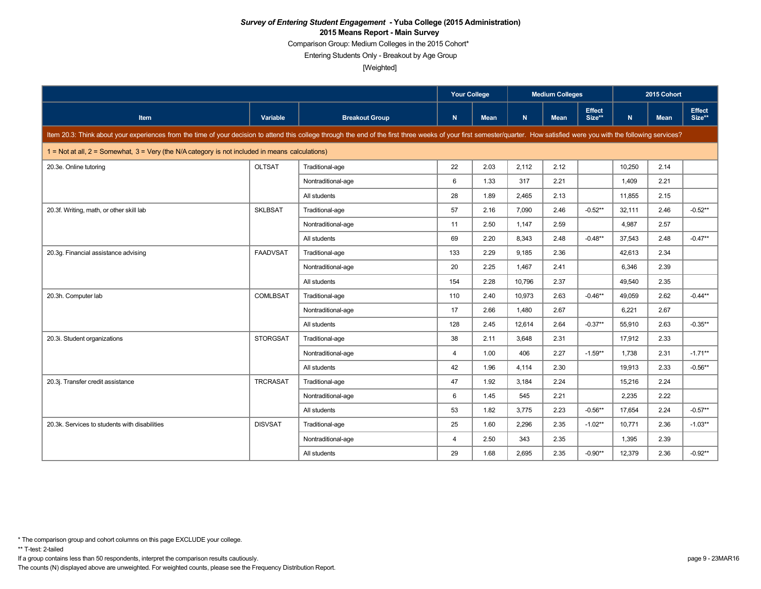Comparison Group: Medium Colleges in the 2015 Cohort\*

Entering Students Only - Breakout by Age Group

[Weighted]

|                                                                                                                                                                                                                            |                 |                       | <b>Your College</b> |      |        | <b>Medium Colleges</b> |                         | 2015 Cohort  |             |                  |
|----------------------------------------------------------------------------------------------------------------------------------------------------------------------------------------------------------------------------|-----------------|-----------------------|---------------------|------|--------|------------------------|-------------------------|--------------|-------------|------------------|
| Item                                                                                                                                                                                                                       | <b>Variable</b> | <b>Breakout Group</b> | N                   | Mean | N      | <b>Mean</b>            | <b>Effect</b><br>Size** | $\mathsf{N}$ | <b>Mean</b> | Effect<br>Size** |
| Item 20.3: Think about your experiences from the time of your decision to attend this college through the end of the first three weeks of your first semester/quarter. How satisfied were you with the following services? |                 |                       |                     |      |        |                        |                         |              |             |                  |
| $1 = Not at all, 2 = Somewhat, 3 = Very (the N/A category is not included in means calculations)$                                                                                                                          |                 |                       |                     |      |        |                        |                         |              |             |                  |
| 20.3e. Online tutoring                                                                                                                                                                                                     | <b>OLTSAT</b>   | Traditional-age       | 22                  | 2.03 | 2,112  | 2.12                   |                         | 10,250       | 2.14        |                  |
|                                                                                                                                                                                                                            |                 | Nontraditional-age    | 6                   | 1.33 | 317    | 2.21                   |                         | 1,409        | 2.21        |                  |
|                                                                                                                                                                                                                            |                 | All students          | 28                  | 1.89 | 2.465  | 2.13                   |                         | 11.855       | 2.15        |                  |
| 20.3f. Writing, math, or other skill lab                                                                                                                                                                                   | <b>SKLBSAT</b>  | Traditional-age       | 57                  | 2.16 | 7,090  | 2.46                   | $-0.52**$               | 32,111       | 2.46        | $-0.52**$        |
|                                                                                                                                                                                                                            |                 | Nontraditional-age    | 11                  | 2.50 | 1.147  | 2.59                   |                         | 4,987        | 2.57        |                  |
|                                                                                                                                                                                                                            |                 | All students          | 69                  | 2.20 | 8,343  | 2.48                   | $-0.48**$               | 37,543       | 2.48        | $-0.47**$        |
| 20.3g. Financial assistance advising                                                                                                                                                                                       | <b>FAADVSAT</b> | Traditional-age       | 133                 | 2.29 | 9,185  | 2.36                   |                         | 42,613       | 2.34        |                  |
|                                                                                                                                                                                                                            |                 | Nontraditional-age    | 20                  | 2.25 | 1,467  | 2.41                   |                         | 6,346        | 2.39        |                  |
|                                                                                                                                                                                                                            |                 | All students          | 154                 | 2.28 | 10.796 | 2.37                   |                         | 49.540       | 2.35        |                  |
| 20.3h. Computer lab                                                                                                                                                                                                        | <b>COMLBSAT</b> | Traditional-age       | 110                 | 2.40 | 10,973 | 2.63                   | $-0.46**$               | 49,059       | 2.62        | $-0.44**$        |
|                                                                                                                                                                                                                            |                 | Nontraditional-age    | 17                  | 2.66 | 1.480  | 2.67                   |                         | 6,221        | 2.67        |                  |
|                                                                                                                                                                                                                            |                 | All students          | 128                 | 2.45 | 12.614 | 2.64                   | $-0.37**$               | 55.910       | 2.63        | $-0.35**$        |
| 20.3i. Student organizations                                                                                                                                                                                               | <b>STORGSAT</b> | Traditional-age       | 38                  | 2.11 | 3,648  | 2.31                   |                         | 17,912       | 2.33        |                  |
|                                                                                                                                                                                                                            |                 | Nontraditional-age    | $\overline{4}$      | 1.00 | 406    | 2.27                   | $-1.59**$               | 1.738        | 2.31        | $-1.71***$       |
|                                                                                                                                                                                                                            |                 | All students          | 42                  | 1.96 | 4,114  | 2.30                   |                         | 19,913       | 2.33        | $-0.56**$        |
| 20.3j. Transfer credit assistance                                                                                                                                                                                          | <b>TRCRASAT</b> | Traditional-age       | 47                  | 1.92 | 3.184  | 2.24                   |                         | 15.216       | 2.24        |                  |
|                                                                                                                                                                                                                            |                 | Nontraditional-age    | 6                   | 1.45 | 545    | 2.21                   |                         | 2,235        | 2.22        |                  |
|                                                                                                                                                                                                                            |                 | All students          | 53                  | 1.82 | 3,775  | 2.23                   | $-0.56**$               | 17,654       | 2.24        | $-0.57**$        |
| 20.3k. Services to students with disabilities                                                                                                                                                                              | <b>DISVSAT</b>  | Traditional-age       | 25                  | 1.60 | 2.296  | 2.35                   | $-1.02**$               | 10,771       | 2.36        | $-1.03**$        |
|                                                                                                                                                                                                                            |                 | Nontraditional-age    | $\overline{4}$      | 2.50 | 343    | 2.35                   |                         | 1,395        | 2.39        |                  |
|                                                                                                                                                                                                                            |                 | All students          | 29                  | 1.68 | 2,695  | 2.35                   | $-0.90**$               | 12,379       | 2.36        | $-0.92**$        |

\*\* T-test: 2-tailed

If a group contains less than 50 respondents, interpret the comparison results cautiously. page 9 - 23MAR16